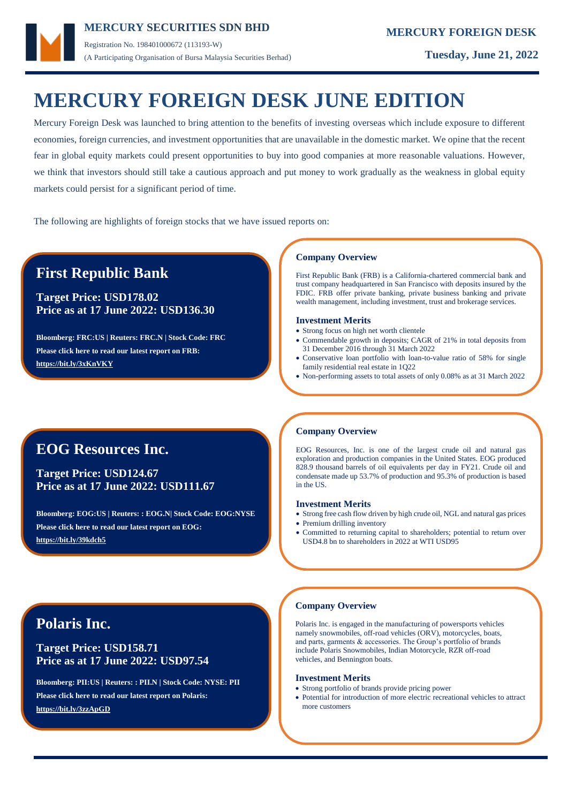

Registration No. 198401000672 (113193-W) (A Participating Organisation of Bursa Malaysia Securities Berhad) **Tuesday, June 21, 2022**

# **MERCURY FOREIGN DESK JUNE EDITION**

Mercury Foreign Desk was launched to bring attention to the benefits of investing overseas which include exposure to different economies, foreign currencies, and investment opportunities that are unavailable in the domestic market. We opine that the recent fear in global equity markets could present opportunities to buy into good companies at more reasonable valuations. However, we think that investors should still take a cautious approach and put money to work gradually as the weakness in global equity markets could persist for a significant period of time.

The following are highlights of foreign stocks that we have issued reports on:

# **First Republic Bank**

**Target Price: USD178.02 Price as at 17 June 2022: USD136.30**

**Bloomberg: FRC:US | Reuters: FRC.N | Stock Code: FRC Please click here to read our latest report on FRB: <https://bit.ly/3xKnVKY>**

### **Company Overview**

First Republic Bank (FRB) is a California-chartered commercial bank and trust company headquartered in San Francisco with deposits insured by the FDIC. FRB offer private banking, private business banking and private wealth management, including investment, trust and brokerage services.

#### **Investment Merits**

- Strong focus on high net worth clientele
- Commendable growth in deposits; CAGR of 21% in total deposits from 31 December 2016 through 31 March 2022
- Conservative loan portfolio with loan-to-value ratio of 58% for single family residential real estate in 1Q22
- Non-performing assets to total assets of only 0.08% as at 31 March 2022

# **EOG Resources Inc.**

**Target Price: USD124.67 Price as at 17 June 2022: USD111.67**

**Bloomberg: EOG:US | Reuters: : EOG.N| Stock Code: EOG:NYSE Please click here to read our latest report on EOG: <https://bit.ly/39kdch5>**

### **Company Overview**

EOG Resources, Inc. is one of the largest crude oil and natural gas exploration and production companies in the United States. EOG produced 828.9 thousand barrels of oil equivalents per day in FY21. Crude oil and condensate made up 53.7% of production and 95.3% of production is based in the US.

### **Investment Merits**

- Strong free cash flow driven by high crude oil, NGL and natural gas prices
- Premium drilling inventory
- Committed to returning capital to shareholders; potential to return over USD4.8 bn to shareholders in 2022 at WTI USD95

### **Company Overview**

Polaris Inc. is engaged in the manufacturing of powersports vehicles namely snowmobiles, off-road vehicles (ORV), motorcycles, boats, and parts, garments & accessories. The Group's portfolio of brands include Polaris Snowmobiles, Indian Motorcycle, RZR off-road vehicles, and Bennington boats.

#### **Investment Merits**

- Strong portfolio of brands provide pricing power
- Potential for introduction of more electric recreational vehicles to attract more customers

# **Polaris Inc.**

### **Target Price: USD158.71 Price as at 17 June 2022: USD97.54**

**Bloomberg: PII:US | Reuters: : PII.N | Stock Code: NYSE: PII Please click here to read our latest report on Polaris: <https://bit.ly/3zzApGD>**